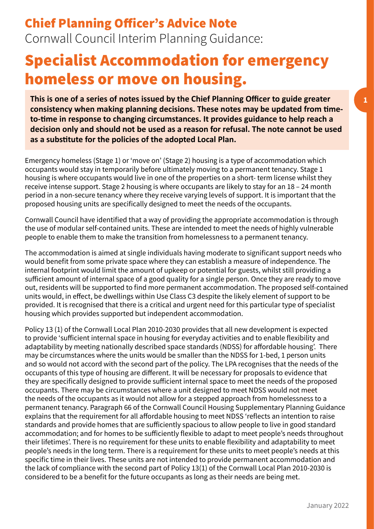**1**

## Chief Planning Officer's Advice Note Cornwall Council Interim Planning Guidance:

## Specialist Accommodation for emergency homeless or move on housing.

**This is one of a series of notes issued by the Chief Planning Officer to guide greater consistency when making planning decisions. These notes may be updated from timeto-time in response to changing circumstances. It provides guidance to help reach a decision only and should not be used as a reason for refusal. The note cannot be used as a substitute for the policies of the adopted Local Plan.**

Emergency homeless (Stage 1) or 'move on' (Stage 2) housing is a type of accommodation which occupants would stay in temporarily before ultimately moving to a permanent tenancy. Stage 1 housing is where occupants would live in one of the properties on a short- term license whilst they receive intense support. Stage 2 housing is where occupants are likely to stay for an 18 – 24 month period in a non-secure tenancy where they receive varying levels of support. It is important that the proposed housing units are specifically designed to meet the needs of the occupants.

Cornwall Council have identified that a way of providing the appropriate accommodation is through the use of modular self-contained units. These are intended to meet the needs of highly vulnerable people to enable them to make the transition from homelessness to a permanent tenancy.

The accommodation is aimed at single individuals having moderate to significant support needs who would benefit from some private space where they can establish a measure of independence. The internal footprint would limit the amount of upkeep or potential for guests, whilst still providing a sufficient amount of internal space of a good quality for a single person. Once they are ready to move out, residents will be supported to find more permanent accommodation. The proposed self-contained units would, in effect, be dwellings within Use Class C3 despite the likely element of support to be provided. It is recognised that there is a critical and urgent need for this particular type of specialist housing which provides supported but independent accommodation.

Policy 13 (1) of the Cornwall Local Plan 2010-2030 provides that all new development is expected to provide 'sufficient internal space in housing for everyday activities and to enable flexibility and adaptability by meeting nationally described space standards (NDSS) for affordable housing'. There may be circumstances where the units would be smaller than the NDSS for 1-bed, 1 person units and so would not accord with the second part of the policy. The LPA recognises that the needs of the occupants of this type of housing are different. It will be necessary for proposals to evidence that they are specifically designed to provide sufficient internal space to meet the needs of the proposed occupants. There may be circumstances where a unit designed to meet NDSS would not meet the needs of the occupants as it would not allow for a stepped approach from homelessness to a permanent tenancy. Paragraph 66 of the Cornwall Council Housing Supplementary Planning Guidance explains that the requirement for all affordable housing to meet NDSS 'reflects an intention to raise standards and provide homes that are sufficiently spacious to allow people to live in good standard accommodation; and for homes to be sufficiently flexible to adapt to meet people's needs throughout their lifetimes'. There is no requirement for these units to enable flexibility and adaptability to meet people's needs in the long term. There is a requirement for these units to meet people's needs at this specific time in their lives. These units are not intended to provide permanent accommodation and the lack of compliance with the second part of Policy 13(1) of the Cornwall Local Plan 2010-2030 is considered to be a benefit for the future occupants as long as their needs are being met.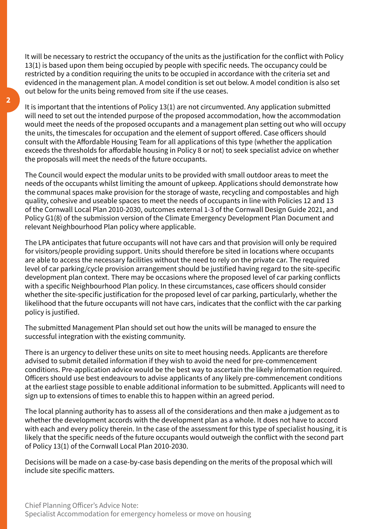It will be necessary to restrict the occupancy of the units as the justification for the conflict with Policy 13(1) is based upon them being occupied by people with specific needs. The occupancy could be restricted by a condition requiring the units to be occupied in accordance with the criteria set and evidenced in the management plan. A model condition is set out below. A model condition is also set out below for the units being removed from site if the use ceases.

It is important that the intentions of Policy 13(1) are not circumvented. Any application submitted will need to set out the intended purpose of the proposed accommodation, how the accommodation would meet the needs of the proposed occupants and a management plan setting out who will occupy the units, the timescales for occupation and the element of support offered. Case officers should consult with the Affordable Housing Team for all applications of this type (whether the application exceeds the thresholds for affordable housing in Policy 8 or not) to seek specialist advice on whether the proposals will meet the needs of the future occupants.

The Council would expect the modular units to be provided with small outdoor areas to meet the needs of the occupants whilst limiting the amount of upkeep. Applications should demonstrate how the communal spaces make provision for the storage of waste, recycling and compostables and high quality, cohesive and useable spaces to meet the needs of occupants in line with Policies 12 and 13 of the Cornwall Local Plan 2010-2030, outcomes external 1-3 of the Cornwall Design Guide 2021, and Policy G1(8) of the submission version of the Climate Emergency Development Plan Document and relevant Neighbourhood Plan policy where applicable.

The LPA anticipates that future occupants will not have cars and that provision will only be required for visitors/people providing support. Units should therefore be sited in locations where occupants are able to access the necessary facilities without the need to rely on the private car. The required level of car parking/cycle provision arrangement should be justified having regard to the site-specific development plan context. There may be occasions where the proposed level of car parking conflicts with a specific Neighbourhood Plan policy. In these circumstances, case officers should consider whether the site-specific justification for the proposed level of car parking, particularly, whether the likelihood that the future occupants will not have cars, indicates that the conflict with the car parking policy is justified.

The submitted Management Plan should set out how the units will be managed to ensure the successful integration with the existing community.

There is an urgency to deliver these units on site to meet housing needs. Applicants are therefore advised to submit detailed information if they wish to avoid the need for pre-commencement conditions. Pre-application advice would be the best way to ascertain the likely information required. Officers should use best endeavours to advise applicants of any likely pre-commencement conditions at the earliest stage possible to enable additional information to be submitted. Applicants will need to sign up to extensions of times to enable this to happen within an agreed period.

The local planning authority has to assess all of the considerations and then make a judgement as to whether the development accords with the development plan as a whole. It does not have to accord with each and every policy therein. In the case of the assessment for this type of specialist housing, it is likely that the specific needs of the future occupants would outweigh the conflict with the second part of Policy 13(1) of the Cornwall Local Plan 2010-2030.

Decisions will be made on a case-by-case basis depending on the merits of the proposal which will include site specific matters.